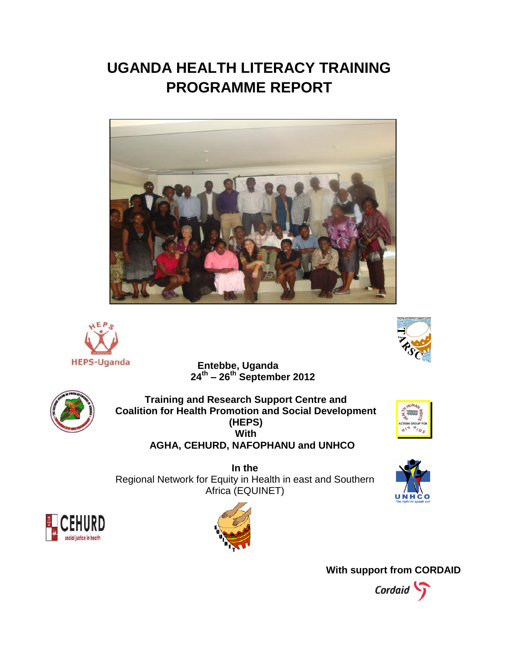# **UGANDA HEALTH LITERACY TRAINING PROGRAMME REPORT**





**Entebbe, Uganda 24th – 26th September 2012**



**Training and Research Support Centre and Coalition for Health Promotion and Social Development (HEPS) With AGHA, CEHURD, NAFOPHANU and UNHCO** 



**In the**  Regional Network for Equity in Health in east and Southern Africa (EQUINET)







**With support from CORDAID**

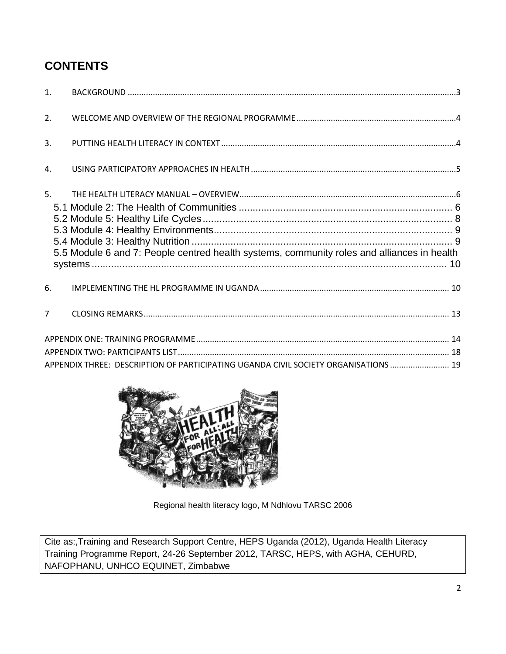### **CONTENTS**

| 1 <sup>1</sup> |                                                                                            |  |
|----------------|--------------------------------------------------------------------------------------------|--|
| 2.             |                                                                                            |  |
| 3.             |                                                                                            |  |
| $\mathbf{4}$ . |                                                                                            |  |
| 5.             | 5.5 Module 6 and 7: People centred health systems, community roles and alliances in health |  |
| 6.             |                                                                                            |  |
| $\overline{7}$ |                                                                                            |  |
|                | APPENDIX THREE: DESCRIPTION OF PARTICIPATING UGANDA CIVIL SOCIETY ORGANISATIONS  19        |  |



Regional health literacy logo, M Ndhlovu TARSC 2006

Cite as:,Training and Research Support Centre, HEPS Uganda (2012), Uganda Health Literacy Training Programme Report, 24-26 September 2012, TARSC, HEPS, with AGHA, CEHURD, NAFOPHANU, UNHCO EQUINET, Zimbabwe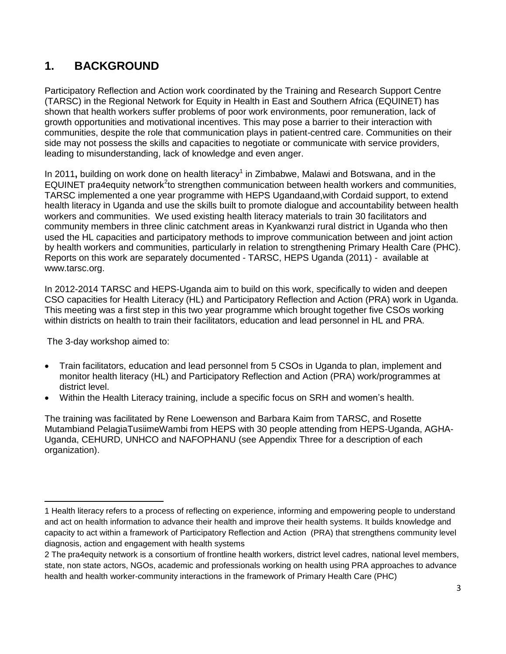### <span id="page-2-0"></span>**1. BACKGROUND**

Participatory Reflection and Action work coordinated by the Training and Research Support Centre (TARSC) in the Regional Network for Equity in Health in East and Southern Africa (EQUINET) has shown that health workers suffer problems of poor work environments, poor remuneration, lack of growth opportunities and motivational incentives. This may pose a barrier to their interaction with communities, despite the role that communication plays in patient-centred care. Communities on their side may not possess the skills and capacities to negotiate or communicate with service providers, leading to misunderstanding, lack of knowledge and even anger.

In 2011, building on work done on health literacy<sup>1</sup> in Zimbabwe, Malawi and Botswana, and in the EQUINET pra4equity network<sup>2</sup>to strengthen communication between health workers and communities, TARSC implemented a one year programme with HEPS Ugandaand,with Cordaid support, to extend health literacy in Uganda and use the skills built to promote dialogue and accountability between health workers and communities. We used existing health literacy materials to train 30 facilitators and community members in three clinic catchment areas in Kyankwanzi rural district in Uganda who then used the HL capacities and participatory methods to improve communication between and joint action by health workers and communities, particularly in relation to strengthening Primary Health Care (PHC). Reports on this work are separately documented - TARSC, HEPS Uganda (2011) - available at [www.tarsc.org.](http://www.tarsc.org/)

In 2012-2014 TARSC and HEPS-Uganda aim to build on this work, specifically to widen and deepen CSO capacities for Health Literacy (HL) and Participatory Reflection and Action (PRA) work in Uganda. This meeting was a first step in this two year programme which brought together five CSOs working within districts on health to train their facilitators, education and lead personnel in HL and PRA.

The 3-day workshop aimed to:

- Train facilitators, education and lead personnel from 5 CSOs in Uganda to plan, implement and monitor health literacy (HL) and Participatory Reflection and Action (PRA) work/programmes at district level.
- Within the Health Literacy training, include a specific focus on SRH and women's health.

The training was facilitated by Rene Loewenson and Barbara Kaim from TARSC, and Rosette Mutambiand PelagiaTusiimeWambi from HEPS with 30 people attending from HEPS-Uganda, AGHA-Uganda, CEHURD, UNHCO and NAFOPHANU (see Appendix Three for a description of each organization).

 $\overline{\phantom{a}}$ 1 Health literacy refers to a process of reflecting on experience, informing and empowering people to understand and act on health information to advance their health and improve their health systems. It builds knowledge and capacity to act within a framework of Participatory Reflection and Action (PRA) that strengthens community level diagnosis, action and engagement with health systems

<sup>2</sup> The pra4equity network is a consortium of frontline health workers, district level cadres, national level members, state, non state actors, NGOs, academic and professionals working on health using PRA approaches to advance health and health worker-community interactions in the framework of Primary Health Care (PHC)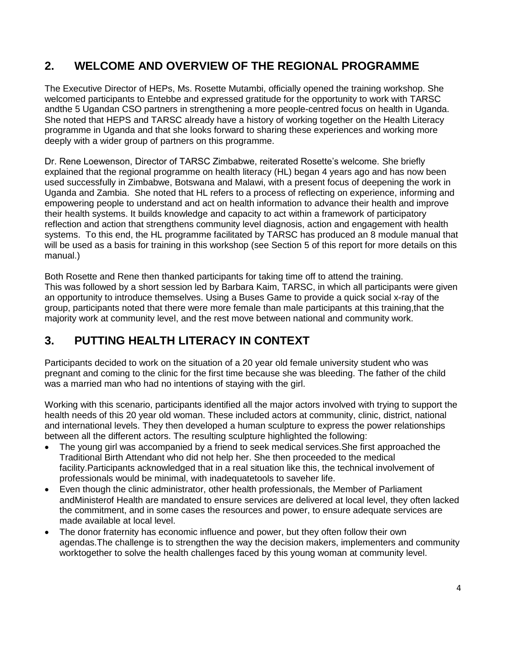### <span id="page-3-0"></span>**2. WELCOME AND OVERVIEW OF THE REGIONAL PROGRAMME**

The Executive Director of HEPs, Ms. Rosette Mutambi, officially opened the training workshop. She welcomed participants to Entebbe and expressed gratitude for the opportunity to work with TARSC andthe 5 Ugandan CSO partners in strengthening a more people-centred focus on health in Uganda. She noted that HEPS and TARSC already have a history of working together on the Health Literacy programme in Uganda and that she looks forward to sharing these experiences and working more deeply with a wider group of partners on this programme.

Dr. Rene Loewenson, Director of TARSC Zimbabwe, reiterated Rosette's welcome. She briefly explained that the regional programme on health literacy (HL) began 4 years ago and has now been used successfully in Zimbabwe, Botswana and Malawi, with a present focus of deepening the work in Uganda and Zambia. She noted that HL refers to a process of reflecting on experience, informing and empowering people to understand and act on health information to advance their health and improve their health systems. It builds knowledge and capacity to act within a framework of participatory reflection and action that strengthens community level diagnosis, action and engagement with health systems. To this end, the HL programme facilitated by TARSC has produced an 8 module manual that will be used as a basis for training in this workshop (see Section 5 of this report for more details on this manual.)

Both Rosette and Rene then thanked participants for taking time off to attend the training. This was followed by a short session led by Barbara Kaim, TARSC, in which all participants were given an opportunity to introduce themselves. Using a Buses Game to provide a quick social x-ray of the group, participants noted that there were more female than male participants at this training,that the majority work at community level, and the rest move between national and community work.

### <span id="page-3-1"></span>**3. PUTTING HEALTH LITERACY IN CONTEXT**

Participants decided to work on the situation of a 20 year old female university student who was pregnant and coming to the clinic for the first time because she was bleeding. The father of the child was a married man who had no intentions of staying with the girl.

Working with this scenario, participants identified all the major actors involved with trying to support the health needs of this 20 year old woman. These included actors at community, clinic, district, national and international levels. They then developed a human sculpture to express the power relationships between all the different actors. The resulting sculpture highlighted the following:

- The young girl was accompanied by a friend to seek medical services.She first approached the Traditional Birth Attendant who did not help her. She then proceeded to the medical facility.Participants acknowledged that in a real situation like this, the technical involvement of professionals would be minimal, with inadequatetools to saveher life.
- Even though the clinic administrator, other health professionals, the Member of Parliament andMinisterof Health are mandated to ensure services are delivered at local level, they often lacked the commitment, and in some cases the resources and power, to ensure adequate services are made available at local level.
- The donor fraternity has economic influence and power, but they often follow their own agendas.The challenge is to strengthen the way the decision makers, implementers and community worktogether to solve the health challenges faced by this young woman at community level.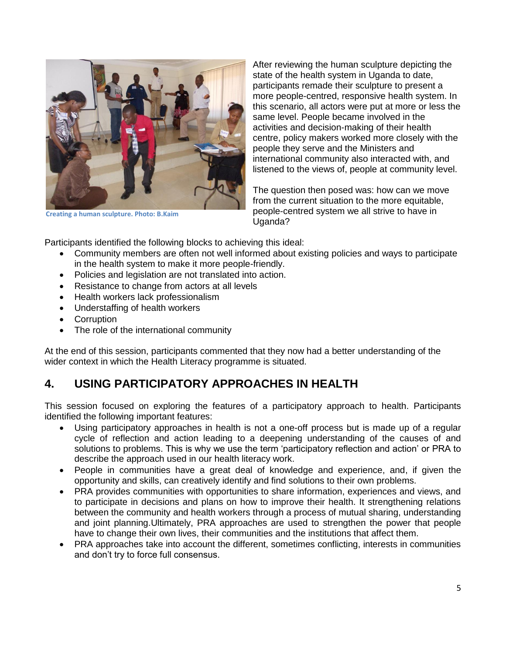

**Creating a human sculpture. Photo: B.Kaim**

After reviewing the human sculpture depicting the state of the health system in Uganda to date, participants remade their sculpture to present a more people-centred, responsive health system. In this scenario, all actors were put at more or less the same level. People became involved in the activities and decision-making of their health centre, policy makers worked more closely with the people they serve and the Ministers and international community also interacted with, and listened to the views of, people at community level.

The question then posed was: how can we move from the current situation to the more equitable, people-centred system we all strive to have in Uganda?

Participants identified the following blocks to achieving this ideal:

- Community members are often not well informed about existing policies and ways to participate in the health system to make it more people-friendly.
- Policies and legislation are not translated into action.
- Resistance to change from actors at all levels
- Health workers lack professionalism
- Understaffing of health workers
- Corruption
- The role of the international community

At the end of this session, participants commented that they now had a better understanding of the wider context in which the Health Literacy programme is situated.

### <span id="page-4-0"></span>**4. USING PARTICIPATORY APPROACHES IN HEALTH**

This session focused on exploring the features of a participatory approach to health. Participants identified the following important features:

- Using participatory approaches in health is not a one-off process but is made up of a regular cycle of reflection and action leading to a deepening understanding of the causes of and solutions to problems. This is why we use the term 'participatory reflection and action' or PRA to describe the approach used in our health literacy work.
- People in communities have a great deal of knowledge and experience, and, if given the opportunity and skills, can creatively identify and find solutions to their own problems.
- PRA provides communities with opportunities to share information, experiences and views, and to participate in decisions and plans on how to improve their health. It strengthening relations between the community and health workers through a process of mutual sharing, understanding and joint planning.Ultimately, PRA approaches are used to strengthen the power that people have to change their own lives, their communities and the institutions that affect them.
- PRA approaches take into account the different, sometimes conflicting, interests in communities and don't try to force full consensus.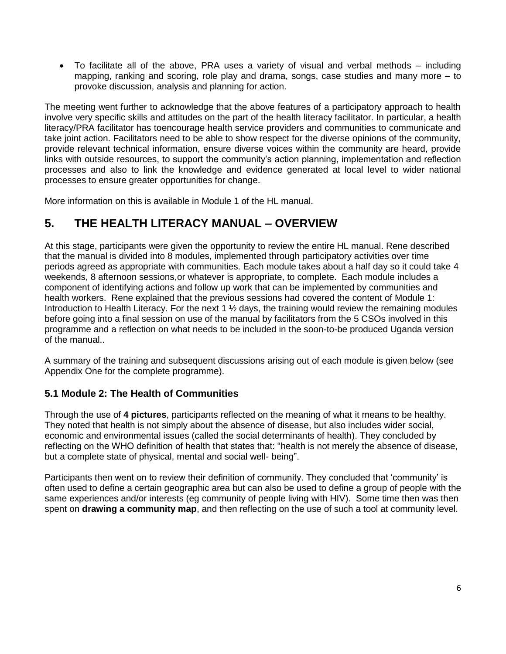• To facilitate all of the above, PRA uses a variety of visual and verbal methods – including mapping, ranking and scoring, role play and drama, songs, case studies and many more – to provoke discussion, analysis and planning for action.

The meeting went further to acknowledge that the above features of a participatory approach to health involve very specific skills and attitudes on the part of the health literacy facilitator. In particular, a health literacy/PRA facilitator has toencourage health service providers and communities to communicate and take joint action. Facilitators need to be able to show respect for the diverse opinions of the community, provide relevant technical information, ensure diverse voices within the community are heard, provide links with outside resources, to support the community's action planning, implementation and reflection processes and also to link the knowledge and evidence generated at local level to wider national processes to ensure greater opportunities for change.

More information on this is available in Module 1 of the HL manual.

### <span id="page-5-0"></span>**5. THE HEALTH LITERACY MANUAL – OVERVIEW**

At this stage, participants were given the opportunity to review the entire HL manual. Rene described that the manual is divided into 8 modules, implemented through participatory activities over time periods agreed as appropriate with communities. Each module takes about a half day so it could take 4 weekends, 8 afternoon sessions,or whatever is appropriate, to complete. Each module includes a component of identifying actions and follow up work that can be implemented by communities and health workers. Rene explained that the previous sessions had covered the content of Module 1: Introduction to Health Literacy. For the next 1 % days, the training would review the remaining modules before going into a final session on use of the manual by facilitators from the 5 CSOs involved in this programme and a reflection on what needs to be included in the soon-to-be produced Uganda version of the manual..

A summary of the training and subsequent discussions arising out of each module is given below (see Appendix One for the complete programme).

#### <span id="page-5-1"></span>**5.1 Module 2: The Health of Communities**

Through the use of **4 pictures**, participants reflected on the meaning of what it means to be healthy. They noted that health is not simply about the absence of disease, but also includes wider social, economic and environmental issues (called the social determinants of health). They concluded by reflecting on the WHO definition of health that states that: "health is not merely the absence of disease, but a complete state of physical, mental and social well- being".

Participants then went on to review their definition of community. They concluded that 'community' is often used to define a certain geographic area but can also be used to define a group of people with the same experiences and/or interests (eg community of people living with HIV). Some time then was then spent on **drawing a community map**, and then reflecting on the use of such a tool at community level.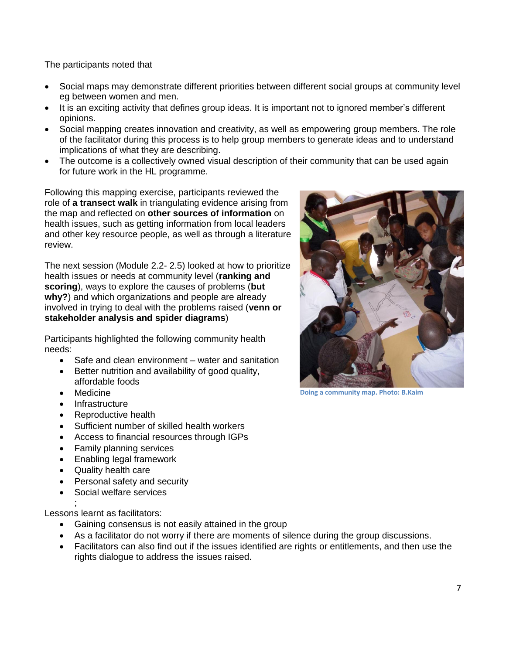The participants noted that

- Social maps may demonstrate different priorities between different social groups at community level eg between women and men.
- It is an exciting activity that defines group ideas. It is important not to ignored member's different opinions.
- Social mapping creates innovation and creativity, as well as empowering group members. The role of the facilitator during this process is to help group members to generate ideas and to understand implications of what they are describing.
- The outcome is a collectively owned visual description of their community that can be used again for future work in the HL programme.

Following this mapping exercise, participants reviewed the role of **a transect walk** in triangulating evidence arising from the map and reflected on **other sources of information** on health issues, such as getting information from local leaders and other key resource people, as well as through a literature review.

The next session (Module 2.2- 2.5) looked at how to prioritize health issues or needs at community level (**ranking and scoring**), ways to explore the causes of problems (**but why?**) and which organizations and people are already involved in trying to deal with the problems raised (**venn or stakeholder analysis and spider diagrams**)

Participants highlighted the following community health needs:

- Safe and clean environment water and sanitation
- Better nutrition and availability of good quality, affordable foods
- Medicine
- **Infrastructure**
- Reproductive health
- Sufficient number of skilled health workers
- Access to financial resources through IGPs
- Family planning services
- Enabling legal framework
- Quality health care
- Personal safety and security
- Social welfare services

; Lessons learnt as facilitators:

- Gaining consensus is not easily attained in the group
- As a facilitator do not worry if there are moments of silence during the group discussions.
- Facilitators can also find out if the issues identified are rights or entitlements, and then use the rights dialogue to address the issues raised.



**Doing a community map. Photo: B.Kaim**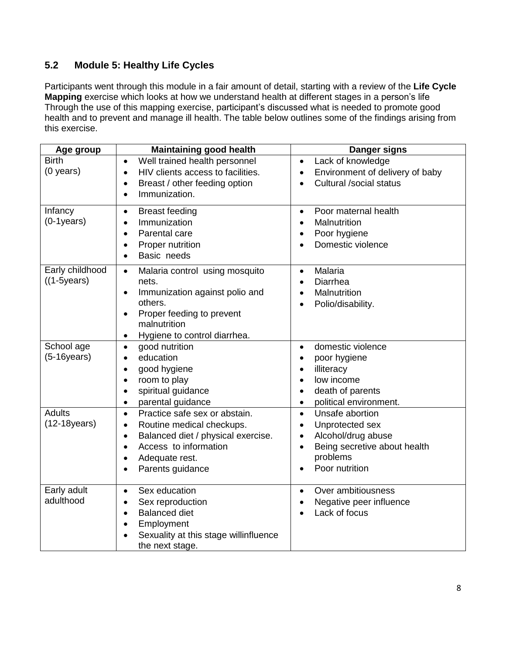#### <span id="page-7-0"></span>**5.2 Module 5: Healthy Life Cycles**

Participants went through this module in a fair amount of detail, starting with a review of the **Life Cycle Mapping** exercise which looks at how we understand health at different stages in a person's life Through the use of this mapping exercise, participant's discussed what is needed to promote good health and to prevent and manage ill health. The table below outlines some of the findings arising from this exercise.

| Age group                             | <b>Maintaining good health</b>                                                                                                                                                                                                                | Danger signs                                                                                                                                                                              |
|---------------------------------------|-----------------------------------------------------------------------------------------------------------------------------------------------------------------------------------------------------------------------------------------------|-------------------------------------------------------------------------------------------------------------------------------------------------------------------------------------------|
| <b>Birth</b><br>$(0$ years)           | Well trained health personnel<br>$\bullet$<br>HIV clients access to facilities.<br>$\bullet$<br>Breast / other feeding option<br>$\bullet$<br>Immunization.<br>$\bullet$                                                                      | Lack of knowledge<br>$\bullet$<br>Environment of delivery of baby<br>$\bullet$<br>Cultural /social status<br>$\bullet$                                                                    |
| Infancy<br>$(0-1)$ years $)$          | <b>Breast feeding</b><br>٠<br>Immunization<br>$\bullet$<br>Parental care<br>$\bullet$<br>Proper nutrition<br>$\bullet$<br>Basic needs<br>$\bullet$                                                                                            | Poor maternal health<br>$\bullet$<br>Malnutrition<br>$\bullet$<br>Poor hygiene<br>$\bullet$<br>Domestic violence                                                                          |
| Early childhood<br>$((1-5)$ years $)$ | Malaria control using mosquito<br>$\bullet$<br>nets.<br>Immunization against polio and<br>$\bullet$<br>others.<br>Proper feeding to prevent<br>$\bullet$<br>malnutrition<br>Hygiene to control diarrhea.<br>٠                                 | Malaria<br>$\bullet$<br>Diarrhea<br>$\bullet$<br>Malnutrition<br>$\bullet$<br>Polio/disability.<br>$\bullet$                                                                              |
| School age<br>$(5-16)$ years)         | good nutrition<br>$\bullet$<br>education<br>$\bullet$<br>good hygiene<br>$\bullet$<br>room to play<br>$\bullet$<br>spiritual guidance<br>$\bullet$<br>parental guidance<br>$\bullet$                                                          | domestic violence<br>$\bullet$<br>poor hygiene<br>$\bullet$<br>illiteracy<br>$\bullet$<br>low income<br>$\bullet$<br>death of parents<br>$\bullet$<br>political environment.<br>$\bullet$ |
| <b>Adults</b><br>$(12-18)$ years)     | Practice safe sex or abstain.<br>$\bullet$<br>Routine medical checkups.<br>$\bullet$<br>Balanced diet / physical exercise.<br>$\bullet$<br>Access to information<br>$\bullet$<br>Adequate rest.<br>$\bullet$<br>Parents guidance<br>$\bullet$ | Unsafe abortion<br>$\bullet$<br>Unprotected sex<br>$\bullet$<br>Alcohol/drug abuse<br>$\bullet$<br>Being secretive about health<br>$\bullet$<br>problems<br>Poor nutrition                |
| Early adult<br>adulthood              | Sex education<br>$\bullet$<br>Sex reproduction<br>$\bullet$<br><b>Balanced diet</b><br>$\bullet$<br>Employment<br>$\bullet$<br>Sexuality at this stage willinfluence<br>the next stage.                                                       | Over ambitiousness<br>$\bullet$<br>Negative peer influence<br>$\bullet$<br>Lack of focus                                                                                                  |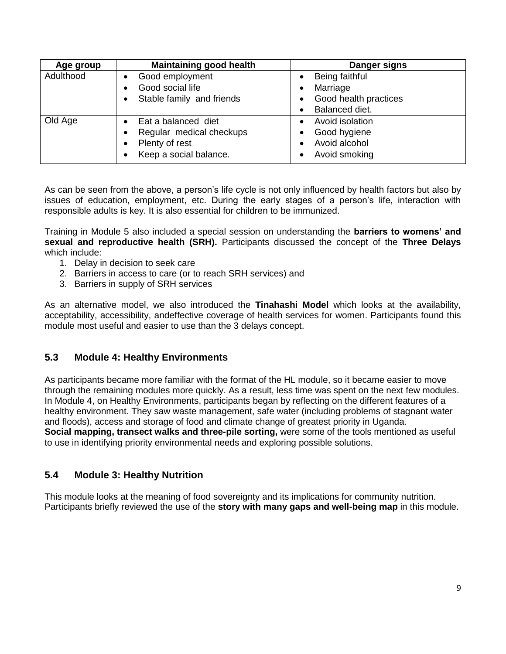| Age group | <b>Maintaining good health</b> | Danger signs          |
|-----------|--------------------------------|-----------------------|
| Adulthood | Good employment                | Being faithful        |
|           | Good social life               | Marriage              |
|           | Stable family and friends      | Good health practices |
|           |                                | Balanced diet.        |
| Old Age   | Eat a balanced diet            | Avoid isolation       |
|           | Regular medical checkups       | Good hygiene          |
|           | Plenty of rest                 | Avoid alcohol         |
|           | Keep a social balance.         | Avoid smoking         |

As can be seen from the above, a person's life cycle is not only influenced by health factors but also by issues of education, employment, etc. During the early stages of a person's life, interaction with responsible adults is key. It is also essential for children to be immunized.

Training in Module 5 also included a special session on understanding the **barriers to womens' and sexual and reproductive health (SRH).** Participants discussed the concept of the **Three Delays** which include:

- 1. Delay in decision to seek care
- 2. Barriers in access to care (or to reach SRH services) and
- 3. Barriers in supply of SRH services

As an alternative model, we also introduced the **Tinahashi Model** which looks at the availability, acceptability, accessibility, andeffective coverage of health services for women. Participants found this module most useful and easier to use than the 3 delays concept.

#### <span id="page-8-0"></span>**5.3 Module 4: Healthy Environments**

As participants became more familiar with the format of the HL module, so it became easier to move through the remaining modules more quickly. As a result, less time was spent on the next few modules. In Module 4, on Healthy Environments, participants began by reflecting on the different features of a healthy environment. They saw waste management, safe water (including problems of stagnant water and floods), access and storage of food and climate change of greatest priority in Uganda. **Social mapping, transect walks and three-pile sorting,** were some of the tools mentioned as useful to use in identifying priority environmental needs and exploring possible solutions.

#### <span id="page-8-1"></span>**5.4 Module 3: Healthy Nutrition**

This module looks at the meaning of food sovereignty and its implications for community nutrition. Participants briefly reviewed the use of the **story with many gaps and well-being map** in this module.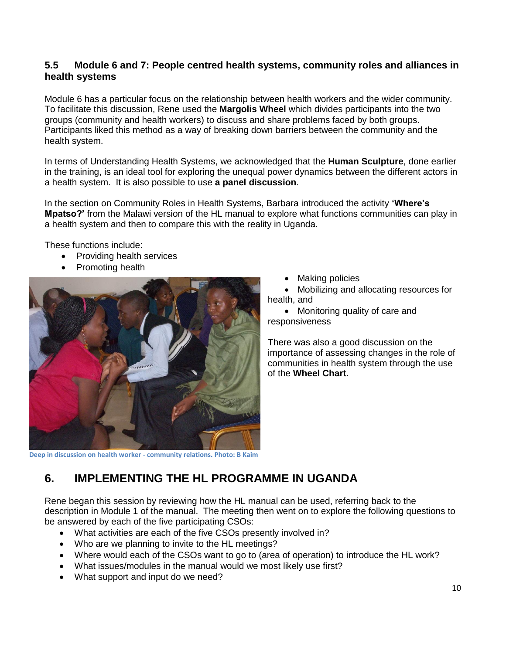#### <span id="page-9-0"></span>**5.5 Module 6 and 7: People centred health systems, community roles and alliances in health systems**

Module 6 has a particular focus on the relationship between health workers and the wider community. To facilitate this discussion, Rene used the **Margolis Wheel** which divides participants into the two groups (community and health workers) to discuss and share problems faced by both groups. Participants liked this method as a way of breaking down barriers between the community and the health system.

In terms of Understanding Health Systems, we acknowledged that the **Human Sculpture**, done earlier in the training, is an ideal tool for exploring the unequal power dynamics between the different actors in a health system. It is also possible to use **a panel discussion**.

In the section on Community Roles in Health Systems, Barbara introduced the activity **'Where's Mpatso?'** from the Malawi version of the HL manual to explore what functions communities can play in a health system and then to compare this with the reality in Uganda.

These functions include:

- Providing health services
- Promoting health



Making policies

 Mobilizing and allocating resources for health, and

• Monitoring quality of care and responsiveness

There was also a good discussion on the importance of assessing changes in the role of communities in health system through the use of the **Wheel Chart.**

### <span id="page-9-1"></span>**6. IMPLEMENTING THE HL PROGRAMME IN UGANDA**

Rene began this session by reviewing how the HL manual can be used, referring back to the description in Module 1 of the manual. The meeting then went on to explore the following questions to be answered by each of the five participating CSOs:

- What activities are each of the five CSOs presently involved in?
- Who are we planning to invite to the HL meetings?
- Where would each of the CSOs want to go to (area of operation) to introduce the HL work?
- What issues/modules in the manual would we most likely use first?
- What support and input do we need?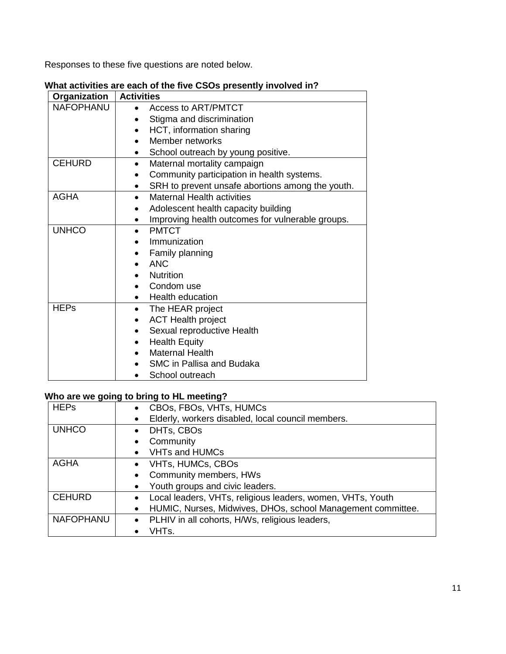Responses to these five questions are noted below.

| Organization     | <b>Activities</b>                                             |
|------------------|---------------------------------------------------------------|
| <b>NAFOPHANU</b> | <b>Access to ART/PMTCT</b>                                    |
|                  | Stigma and discrimination                                     |
|                  | HCT, information sharing                                      |
|                  | Member networks                                               |
|                  | School outreach by young positive.                            |
| <b>CEHURD</b>    | Maternal mortality campaign                                   |
|                  | Community participation in health systems.<br>$\bullet$       |
|                  | SRH to prevent unsafe abortions among the youth.<br>٠         |
| <b>AGHA</b>      | <b>Maternal Health activities</b><br>$\bullet$                |
|                  | Adolescent health capacity building<br>٠                      |
|                  | Improving health outcomes for vulnerable groups.<br>$\bullet$ |
| <b>UNHCO</b>     | <b>PMTCT</b><br>$\bullet$                                     |
|                  | Immunization                                                  |
|                  | Family planning                                               |
|                  | <b>ANC</b>                                                    |
|                  | <b>Nutrition</b>                                              |
|                  | Condom use                                                    |
|                  | <b>Health education</b><br>$\bullet$                          |
| <b>HEPs</b>      | The HEAR project<br>$\bullet$                                 |
|                  | <b>ACT Health project</b>                                     |
|                  | Sexual reproductive Health                                    |
|                  | <b>Health Equity</b>                                          |
|                  | <b>Maternal Health</b>                                        |
|                  | SMC in Pallisa and Budaka                                     |
|                  | School outreach                                               |

#### **What activities are each of the five CSOs presently involved in?**

### **Who are we going to bring to HL meeting?**

| <b>HEPs</b>      | CBOs, FBOs, VHTs, HUMCs<br>$\bullet$                                     |  |  |  |  |
|------------------|--------------------------------------------------------------------------|--|--|--|--|
|                  | Elderly, workers disabled, local council members.<br>$\bullet$           |  |  |  |  |
| <b>UNHCO</b>     | DHTs, CBOs<br>$\bullet$                                                  |  |  |  |  |
|                  | Community<br>$\bullet$                                                   |  |  |  |  |
|                  | <b>VHTs and HUMCs</b><br>$\bullet$                                       |  |  |  |  |
| <b>AGHA</b>      | • VHTs, HUMCs, CBOs                                                      |  |  |  |  |
|                  | Community members, HWs<br>$\bullet$                                      |  |  |  |  |
|                  | Youth groups and civic leaders.<br>$\bullet$                             |  |  |  |  |
| <b>CEHURD</b>    | Local leaders, VHTs, religious leaders, women, VHTs, Youth<br>$\bullet$  |  |  |  |  |
|                  | HUMIC, Nurses, Midwives, DHOs, school Management committee.<br>$\bullet$ |  |  |  |  |
| <b>NAFOPHANU</b> | • PLHIV in all cohorts, H/Ws, religious leaders,                         |  |  |  |  |
|                  | VHTs.                                                                    |  |  |  |  |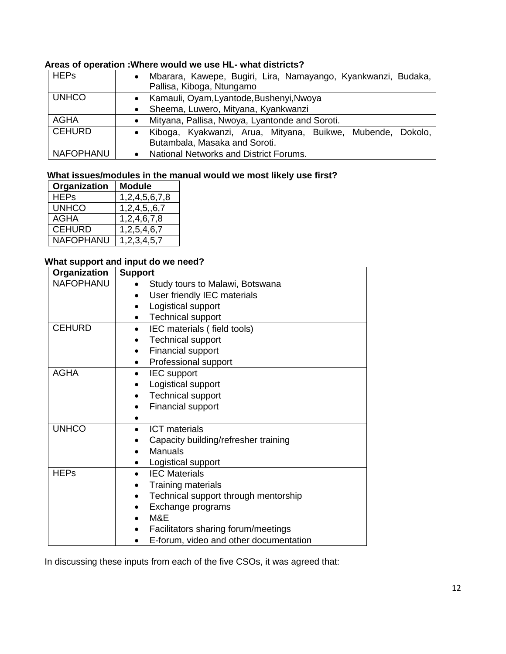#### **Areas of operation :Where would we use HL- what districts?**

| <b>HEPs</b>      | Mbarara, Kawepe, Bugiri, Lira, Namayango, Kyankwanzi, Budaka,                               |  |  |  |
|------------------|---------------------------------------------------------------------------------------------|--|--|--|
|                  | Pallisa, Kiboga, Ntungamo                                                                   |  |  |  |
| <b>UNHCO</b>     | • Kamauli, Oyam, Lyantode, Bushenyi, Nwoya                                                  |  |  |  |
|                  | • Sheema, Luwero, Mityana, Kyankwanzi                                                       |  |  |  |
| AGHA             | Mityana, Pallisa, Nwoya, Lyantonde and Soroti.                                              |  |  |  |
| <b>CEHURD</b>    | Kiboga, Kyakwanzi, Arua, Mityana, Buikwe, Mubende, Dokolo,<br>Butambala, Masaka and Soroti. |  |  |  |
| <b>NAFOPHANU</b> | National Networks and District Forums.                                                      |  |  |  |

#### **What issues/modules in the manual would we most likely use first?**

| Organization     | <b>Module</b> |
|------------------|---------------|
| <b>HEPs</b>      | 1,2,4,5,6,7,8 |
| <b>UNHCO</b>     | 1,2,4,5,,6,7  |
| <b>AGHA</b>      | 1,2,4,6,7,8   |
| <b>CEHURD</b>    | 1,2,5,4,6,7   |
| <b>NAFOPHANU</b> | 1,2,3,4,5,7   |

### **What support and input do we need?**

| Organization     | <b>Support</b>                                    |
|------------------|---------------------------------------------------|
| <b>NAFOPHANU</b> | Study tours to Malawi, Botswana                   |
|                  | User friendly IEC materials                       |
|                  | Logistical support                                |
|                  | <b>Technical support</b>                          |
| <b>CEHURD</b>    | IEC materials (field tools)<br>$\bullet$          |
|                  | <b>Technical support</b>                          |
|                  | <b>Financial support</b>                          |
|                  | Professional support                              |
| <b>AGHA</b>      | <b>IEC</b> support<br>$\bullet$                   |
|                  | Logistical support                                |
|                  | <b>Technical support</b>                          |
|                  | <b>Financial support</b>                          |
|                  |                                                   |
| <b>UNHCO</b>     | <b>ICT</b> materials                              |
|                  | Capacity building/refresher training              |
|                  | Manuals                                           |
|                  | Logistical support<br>٠                           |
| <b>HEPs</b>      | <b>IEC Materials</b>                              |
|                  | Training materials<br>$\bullet$                   |
|                  | Technical support through mentorship<br>$\bullet$ |
|                  | Exchange programs                                 |
|                  | M&E                                               |
|                  | Facilitators sharing forum/meetings               |
|                  | E-forum, video and other documentation            |

In discussing these inputs from each of the five CSOs, it was agreed that: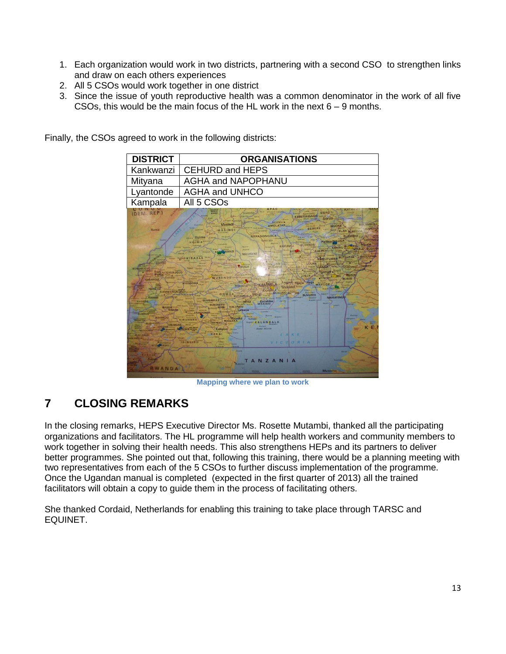- 1. Each organization would work in two districts, partnering with a second CSO to strengthen links and draw on each others experiences
- 2. All 5 CSOs would work together in one district
- 3. Since the issue of youth reproductive health was a common denominator in the work of all five CSOs, this would be the main focus of the HL work in the next 6 – 9 months.



Finally, the CSOs agreed to work in the following districts:

**Mapping where we plan to work**

### <span id="page-12-0"></span>**7 CLOSING REMARKS**

In the closing remarks, HEPS Executive Director Ms. Rosette Mutambi, thanked all the participating organizations and facilitators. The HL programme will help health workers and community members to work together in solving their health needs. This also strengthens HEPs and its partners to deliver better programmes. She pointed out that, following this training, there would be a planning meeting with two representatives from each of the 5 CSOs to further discuss implementation of the programme. Once the Ugandan manual is completed (expected in the first quarter of 2013) all the trained facilitators will obtain a copy to guide them in the process of facilitating others.

She thanked Cordaid, Netherlands for enabling this training to take place through TARSC and EQUINET.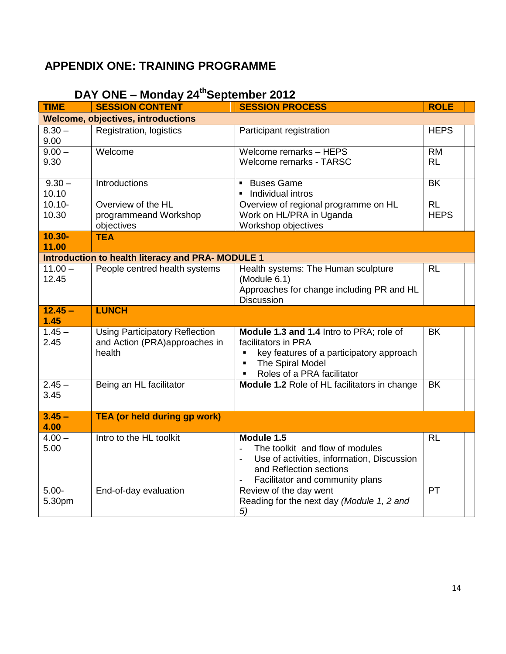### <span id="page-13-0"></span>**APPENDIX ONE: TRAINING PROGRAMME**

| <b>TIME</b>        | <b>SESSION CONTENT</b>                                                           | <b>SESSION PROCESS</b>                                                                                                                                                                            | <b>ROLE</b>            |
|--------------------|----------------------------------------------------------------------------------|---------------------------------------------------------------------------------------------------------------------------------------------------------------------------------------------------|------------------------|
|                    | <b>Welcome, objectives, introductions</b>                                        |                                                                                                                                                                                                   |                        |
| $8.30 -$<br>9.00   | Registration, logistics                                                          | Participant registration                                                                                                                                                                          | <b>HEPS</b>            |
| $9.00 -$<br>9.30   | Welcome                                                                          | Welcome remarks - HEPS<br><b>Welcome remarks - TARSC</b>                                                                                                                                          | <b>RM</b><br><b>RL</b> |
| $9.30 -$<br>10.10  | Introductions                                                                    | <b>Buses Game</b><br>Individual intros                                                                                                                                                            | <b>BK</b>              |
| $10.10 -$<br>10.30 | Overview of the HL<br>programmeand Workshop<br>objectives                        | Overview of regional programme on HL<br>Work on HL/PRA in Uganda<br>Workshop objectives                                                                                                           | RL<br><b>HEPS</b>      |
| $10.30 -$<br>11.00 | <b>TEA</b>                                                                       |                                                                                                                                                                                                   |                        |
|                    | <b>Introduction to health literacy and PRA- MODULE 1</b>                         |                                                                                                                                                                                                   |                        |
| $11.00 -$<br>12.45 | People centred health systems                                                    | Health systems: The Human sculpture<br>(Module 6.1)<br>Approaches for change including PR and HL<br><b>Discussion</b>                                                                             | RL                     |
| $12.45 -$          | <b>LUNCH</b>                                                                     |                                                                                                                                                                                                   |                        |
| 1.45               |                                                                                  |                                                                                                                                                                                                   |                        |
| $1.45 -$<br>2.45   | <b>Using Participatory Reflection</b><br>and Action (PRA)approaches in<br>health | Module 1.3 and 1.4 Intro to PRA; role of<br>facilitators in PRA<br>key features of a participatory approach<br>$\blacksquare$<br>The Spiral Model<br>$\blacksquare$<br>Roles of a PRA facilitator | <b>BK</b>              |
| $2.45 -$<br>3.45   | Being an HL facilitator                                                          | Module 1.2 Role of HL facilitators in change                                                                                                                                                      | <b>BK</b>              |
| $3.45 -$<br>4.00   | <b>TEA (or held during gp work)</b>                                              |                                                                                                                                                                                                   |                        |
| $4.00 -$<br>5.00   | Intro to the HL toolkit                                                          | Module 1.5<br>The toolkit and flow of modules<br>Use of activities, information, Discussion<br>$\overline{a}$<br>and Reflection sections<br>Facilitator and community plans                       | <b>RL</b>              |
| $5.00 -$<br>5.30pm | End-of-day evaluation                                                            | Review of the day went<br>Reading for the next day (Module 1, 2 and<br>5)                                                                                                                         | PT                     |

## **DAY ONE – Monday 24thSeptember 2012**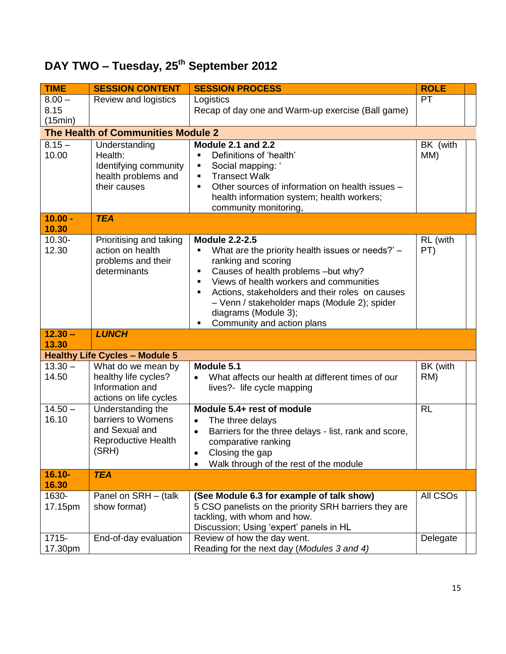# **DAY TWO – Tuesday, 25th September 2012**

| <b>TIME</b>                 | <b>SESSION CONTENT</b>                                                                                                           | <b>SESSION PROCESS</b>                                                                                                                                                                                                                                                                                                                                                  | <b>ROLE</b>          |
|-----------------------------|----------------------------------------------------------------------------------------------------------------------------------|-------------------------------------------------------------------------------------------------------------------------------------------------------------------------------------------------------------------------------------------------------------------------------------------------------------------------------------------------------------------------|----------------------|
| $8.00 -$<br>8.15<br>(15min) | Review and logistics                                                                                                             | Logistics<br>Recap of day one and Warm-up exercise (Ball game)                                                                                                                                                                                                                                                                                                          | <b>PT</b>            |
|                             | The Health of Communities Module 2                                                                                               |                                                                                                                                                                                                                                                                                                                                                                         |                      |
| $8.15 -$<br>10.00           | Understanding<br>Health:<br>Identifying community<br>health problems and<br>their causes                                         | Module 2.1 and 2.2<br>Definitions of 'health'<br>Social mapping: '<br>٠<br><b>Transect Walk</b><br>$\blacksquare$<br>Other sources of information on health issues -<br>$\blacksquare$<br>health information system; health workers;<br>community monitoring,                                                                                                           | BK (with<br>MM)      |
| $10.00 -$<br>10.30          | <b>TEA</b>                                                                                                                       |                                                                                                                                                                                                                                                                                                                                                                         |                      |
| $10.30 -$<br>12.30          | Prioritising and taking<br>action on health<br>problems and their<br>determinants                                                | <b>Module 2.2-2.5</b><br>What are the priority health issues or needs?' -<br>ranking and scoring<br>Causes of health problems -but why?<br>٠<br>Views of health workers and communities<br>$\blacksquare$<br>Actions, stakeholders and their roles on causes<br>Ξ<br>- Venn / stakeholder maps (Module 2); spider<br>diagrams (Module 3);<br>Community and action plans | RL (with<br>PT)      |
| $12.30 -$                   | <b>LUNCH</b>                                                                                                                     |                                                                                                                                                                                                                                                                                                                                                                         |                      |
| 13.30                       |                                                                                                                                  |                                                                                                                                                                                                                                                                                                                                                                         |                      |
| $13.30 -$<br>14.50          | <b>Healthy Life Cycles - Module 5</b><br>What do we mean by<br>healthy life cycles?<br>Information and<br>actions on life cycles | Module 5.1<br>What affects our health at different times of our<br>$\bullet$<br>lives?- life cycle mapping                                                                                                                                                                                                                                                              | BK (with<br>RM)      |
| $14.50 -$<br>16.10          | Understanding the<br>barriers to Womens<br>and Sexual and<br><b>Reproductive Health</b><br>(SRH)                                 | Module 5.4+ rest of module<br>The three delays<br>$\bullet$<br>Barriers for the three delays - list, rank and score,<br>$\bullet$<br>comparative ranking<br>Closing the gap<br>Walk through of the rest of the module                                                                                                                                                   | <b>RL</b>            |
| $16.10 -$<br>16.30          | <b>TEA</b>                                                                                                                       |                                                                                                                                                                                                                                                                                                                                                                         |                      |
| 1630-<br>17.15pm            | Panel on SRH - (talk<br>show format)                                                                                             | (See Module 6.3 for example of talk show)<br>5 CSO panelists on the priority SRH barriers they are<br>tackling, with whom and how.<br>Discussion; Using 'expert' panels in HL                                                                                                                                                                                           | All CSO <sub>s</sub> |
| $1715 -$<br>17.30pm         | End-of-day evaluation                                                                                                            | Review of how the day went.<br>Reading for the next day (Modules 3 and 4)                                                                                                                                                                                                                                                                                               | Delegate             |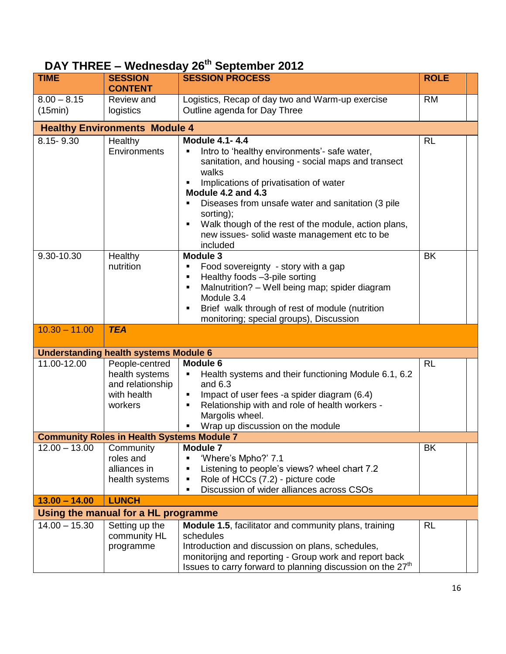| PAI IIIILE      |                                                   | $-$ reducedary zo oppioning zonz                                                           |             |  |
|-----------------|---------------------------------------------------|--------------------------------------------------------------------------------------------|-------------|--|
| <b>TIME</b>     | <b>SESSION</b><br><b>CONTENT</b>                  | <b>SESSION PROCESS</b>                                                                     | <b>ROLE</b> |  |
| $8.00 - 8.15$   | Review and                                        | Logistics, Recap of day two and Warm-up exercise                                           | <b>RM</b>   |  |
| (15min)         | logistics                                         | Outline agenda for Day Three                                                               |             |  |
|                 |                                                   |                                                                                            |             |  |
|                 | <b>Healthy Environments Module 4</b>              |                                                                                            |             |  |
| 8.15-9.30       | Healthy                                           | <b>Module 4.1-4.4</b>                                                                      | RL          |  |
|                 | Environments                                      | Intro to 'healthy environments'- safe water,<br>٠                                          |             |  |
|                 |                                                   | sanitation, and housing - social maps and transect                                         |             |  |
|                 |                                                   | walks                                                                                      |             |  |
|                 |                                                   | Implications of privatisation of water                                                     |             |  |
|                 |                                                   | Module 4.2 and 4.3                                                                         |             |  |
|                 |                                                   | Diseases from unsafe water and sanitation (3 pile)                                         |             |  |
|                 |                                                   | sorting);                                                                                  |             |  |
|                 |                                                   | Walk though of the rest of the module, action plans,<br>٠                                  |             |  |
|                 |                                                   | new issues- solid waste management etc to be                                               |             |  |
|                 |                                                   | included                                                                                   |             |  |
| 9.30-10.30      | Healthy                                           | Module 3                                                                                   | <b>BK</b>   |  |
|                 | nutrition                                         | Food sovereignty - story with a gap<br>٠                                                   |             |  |
|                 |                                                   | Healthy foods -3-pile sorting                                                              |             |  |
|                 |                                                   | Malnutrition? - Well being map; spider diagram<br>٠                                        |             |  |
|                 |                                                   | Module 3.4                                                                                 |             |  |
|                 |                                                   | Brief walk through of rest of module (nutrition<br>monitoring; special groups), Discussion |             |  |
| $10.30 - 11.00$ | <b>TEA</b>                                        |                                                                                            |             |  |
|                 |                                                   |                                                                                            |             |  |
|                 | <b>Understanding health systems Module 6</b>      |                                                                                            |             |  |
| 11.00-12.00     | People-centred                                    | Module 6                                                                                   | <b>RL</b>   |  |
|                 | health systems                                    | Health systems and their functioning Module 6.1, 6.2<br>٠                                  |             |  |
|                 | and relationship                                  | and $6.3$                                                                                  |             |  |
|                 | with health                                       | Impact of user fees -a spider diagram (6.4)                                                |             |  |
|                 | workers                                           | Relationship with and role of health workers -                                             |             |  |
|                 |                                                   | Margolis wheel.                                                                            |             |  |
|                 |                                                   | Wrap up discussion on the module                                                           |             |  |
|                 | <b>Community Roles in Health Systems Module 7</b> |                                                                                            |             |  |
| $12.00 - 13.00$ | Community                                         | <b>Module 7</b>                                                                            | BK          |  |
|                 | roles and                                         | 'Where's Mpho?' 7.1<br>٠                                                                   |             |  |
|                 | alliances in                                      | Listening to people's views? wheel chart 7.2<br>٠                                          |             |  |
|                 | health systems                                    | Role of HCCs (7.2) - picture code                                                          |             |  |
|                 |                                                   | Discussion of wider alliances across CSOs<br>٠                                             |             |  |
| $13.00 - 14.00$ | <b>LUNCH</b>                                      |                                                                                            |             |  |
|                 | Using the manual for a HL programme               |                                                                                            |             |  |
| $14.00 - 15.30$ | Setting up the                                    | <b>Module 1.5, facilitator and community plans, training</b>                               | <b>RL</b>   |  |
|                 | community HL                                      | schedules                                                                                  |             |  |
|                 | programme                                         | Introduction and discussion on plans, schedules,                                           |             |  |
|                 |                                                   | monitorijng and reporting - Group work and report back                                     |             |  |
|                 |                                                   | Issues to carry forward to planning discussion on the 27 <sup>th</sup>                     |             |  |

## **DAY THREE – Wednesday 26th September 2012**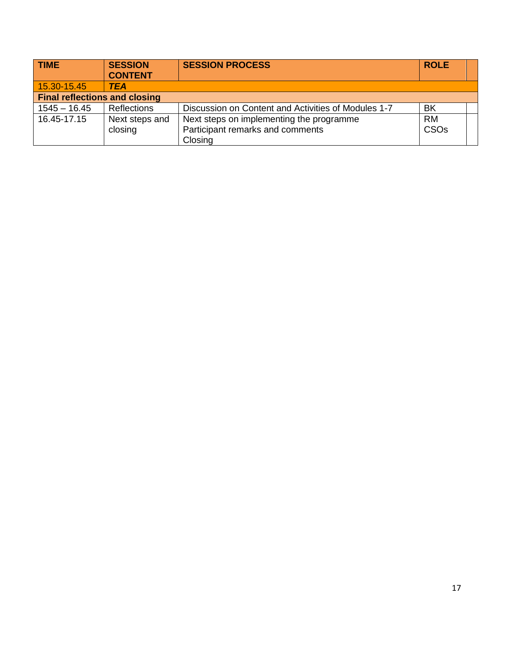| <b>TIME</b>                          | <b>SESSION</b><br><b>CONTENT</b> | <b>SESSION PROCESS</b>                              | <b>ROLE</b>      |  |
|--------------------------------------|----------------------------------|-----------------------------------------------------|------------------|--|
| 15.30-15.45                          | <b>TEA</b>                       |                                                     |                  |  |
| <b>Final reflections and closing</b> |                                  |                                                     |                  |  |
| $1545 - 16.45$                       | <b>Reflections</b>               | Discussion on Content and Activities of Modules 1-7 | <b>BK</b>        |  |
| 16.45-17.15                          | Next steps and                   | Next steps on implementing the programme            | <b>RM</b>        |  |
|                                      | closing                          | Participant remarks and comments                    | CSO <sub>s</sub> |  |
|                                      |                                  | Closing                                             |                  |  |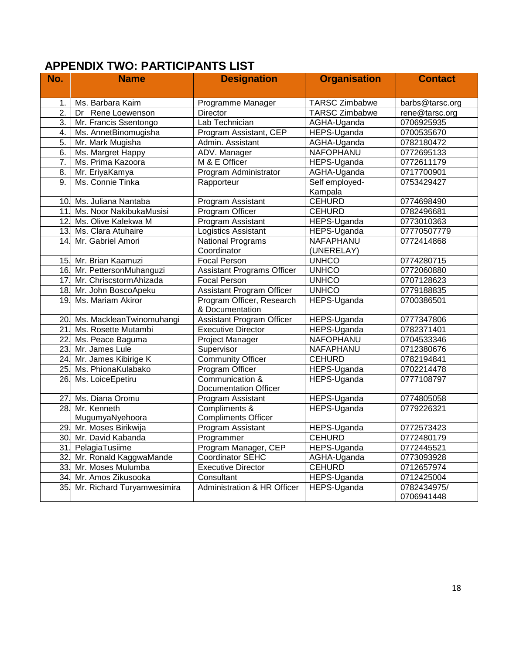### <span id="page-17-0"></span>**APPENDIX TWO: PARTICIPANTS LIST**

| No. | <b>Name</b>                  | <b>Designation</b>                | <b>Organisation</b>   | <b>Contact</b>  |
|-----|------------------------------|-----------------------------------|-----------------------|-----------------|
|     |                              |                                   |                       |                 |
| 1.  | Ms. Barbara Kaim             | Programme Manager                 | <b>TARSC Zimbabwe</b> | barbs@tarsc.org |
| 2.  | Dr Rene Loewenson            | <b>Director</b>                   | <b>TARSC Zimbabwe</b> | rene@tarsc.org  |
| 3.  | Mr. Francis Ssentongo        | Lab Technician                    | AGHA-Uganda           | 0706925935      |
| 4.  | Ms. AnnetBinomugisha         | Program Assistant, CEP            | HEPS-Uganda           | 0700535670      |
| 5.  | Mr. Mark Mugisha             | Admin. Assistant                  | AGHA-Uganda           | 0782180472      |
| 6.  | Ms. Margret Happy            | ADV. Manager                      | NAFOPHANU             | 0772695133      |
| 7.  | Ms. Prima Kazoora            | M & E Officer                     | HEPS-Uganda           | 0772611179      |
| 8.  | Mr. EriyaKamya               | Program Administrator             | AGHA-Uganda           | 0717700901      |
| 9.  | Ms. Connie Tinka             | Rapporteur                        | Self employed-        | 0753429427      |
|     |                              |                                   | Kampala               |                 |
|     | 10. Ms. Juliana Nantaba      | Program Assistant                 | <b>CEHURD</b>         | 0774698490      |
| 11. | Ms. Noor NakibukaMusisi      | Program Officer                   | <b>CEHURD</b>         | 0782496681      |
|     | 12. Ms. Olive Kalekwa M      | Program Assistant                 | HEPS-Uganda           | 0773010363      |
| 13. | Ms. Clara Atuhaire           | <b>Logistics Assistant</b>        | HEPS-Uganda           | 07770507779     |
| 14. | Mr. Gabriel Amori            | <b>National Programs</b>          | NAFAPHANU             | 0772414868      |
|     |                              | Coordinator                       | (UNERELAY)            |                 |
|     | 15. Mr. Brian Kaamuzi        | <b>Focal Person</b>               | <b>UNHCO</b>          | 0774280715      |
|     | 16. Mr. PettersonMuhanguzi   | <b>Assistant Programs Officer</b> | <b>UNHCO</b>          | 0772060880      |
| 17. | Mr. ChriscstormAhizada       | <b>Focal Person</b>               | <b>UNHCO</b>          | 0707128623      |
|     | 18. Mr. John BoscoApeku      | <b>Assistant Program Officer</b>  | <b>UNHCO</b>          | 0779188835      |
| 19. | Ms. Mariam Akiror            | Program Officer, Research         | HEPS-Uganda           | 0700386501      |
|     |                              | & Documentation                   |                       |                 |
|     | 20. Ms. MackleanTwinomuhangi | <b>Assistant Program Officer</b>  | HEPS-Uganda           | 0777347806      |
| 21. | Ms. Rosette Mutambi          | <b>Executive Director</b>         | HEPS-Uganda           | 0782371401      |
| 22. | Ms. Peace Baguma             | Project Manager                   | NAFOPHANU             | 0704533346      |
| 23. | Mr. James Lule               | Supervisor                        | NAFAPHANU             | 0712380676      |
|     | 24. Mr. James Kibirige K     | <b>Community Officer</b>          | <b>CEHURD</b>         | 0782194841      |
| 25. | Ms. PhionaKulabako           | Program Officer                   | HEPS-Uganda           | 0702214478      |
| 26. | Ms. LoiceEpetiru             | Communication &                   | HEPS-Uganda           | 0777108797      |
|     |                              | <b>Documentation Officer</b>      |                       |                 |
| 27. | Ms. Diana Oromu              | Program Assistant                 | HEPS-Uganda           | 0774805058      |
| 28. | Mr. Kenneth                  | Compliments &                     | HEPS-Uganda           | 0779226321      |
|     | MugumyaNyehoora              | <b>Compliments Officer</b>        |                       |                 |
| 29. | Mr. Moses Birikwija          | Program Assistant                 | HEPS-Uganda           | 0772573423      |
|     | 30. Mr. David Kabanda        | Programmer                        | <b>CEHURD</b>         | 0772480179      |
| 31. | PelagiaTusiime               | Program Manager, CEP              | HEPS-Uganda           | 0772445521      |
| 32. | Mr. Ronald KaggwaMande       | Coordinator SEHC                  | AGHA-Uganda           | 0773093928      |
| 33. | Mr. Moses Mulumba            | <b>Executive Director</b>         | <b>CEHURD</b>         | 0712657974      |
| 34. | Mr. Amos Zikusooka           | Consultant                        | HEPS-Uganda           | 0712425004      |
| 35. | Mr. Richard Turyamwesimira   | Administration & HR Officer       | HEPS-Uganda           | 0782434975/     |
|     |                              |                                   |                       | 0706941448      |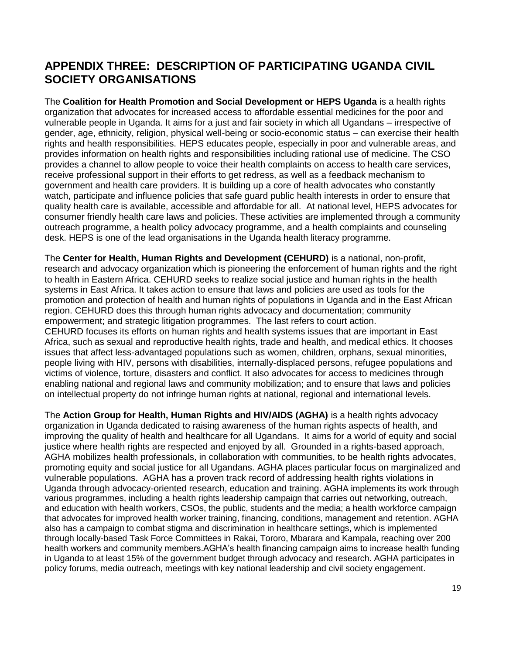### <span id="page-18-0"></span>**APPENDIX THREE: DESCRIPTION OF PARTICIPATING UGANDA CIVIL SOCIETY ORGANISATIONS**

The **Coalition for Health Promotion and Social Development or HEPS Uganda** is a health rights organization that advocates for increased access to affordable essential medicines for the poor and vulnerable people in Uganda. It aims for a just and fair society in which all Ugandans – irrespective of gender, age, ethnicity, religion, physical well-being or socio-economic status – can exercise their health rights and health responsibilities. HEPS educates people, especially in poor and vulnerable areas, and provides information on health rights and responsibilities including rational use of medicine. The CSO provides a channel to allow people to voice their health complaints on access to health care services, receive professional support in their efforts to get redress, as well as a feedback mechanism to government and health care providers. It is building up a core of health advocates who constantly watch, participate and influence policies that safe guard public health interests in order to ensure that quality health care is available, accessible and affordable for all. At national level, HEPS advocates for consumer friendly health care laws and policies. These activities are implemented through a community outreach programme, a health policy advocacy programme, and a health complaints and counseling desk. HEPS is one of the lead organisations in the Uganda health literacy programme.

The **Center for Health, Human Rights and Development (CEHURD)** is a national, non-profit, research and advocacy organization which is pioneering the enforcement of human rights and the right to health in Eastern Africa. CEHURD seeks to realize social justice and human rights in the health systems in East Africa. It takes action to ensure that laws and policies are used as tools for the promotion and protection of health and human rights of populations in Uganda and in the East African region. CEHURD does this through human rights advocacy and documentation; community empowerment; and strategic litigation programmes. The last refers to court action. CEHURD focuses its efforts on human rights and health systems issues that are important in East Africa, such as sexual and reproductive health rights, trade and health, and medical ethics. It chooses issues that affect less-advantaged populations such as women, children, orphans, sexual minorities, people living with HIV, persons with disabilities, internally-displaced persons, refugee populations and victims of violence, torture, disasters and conflict. It also advocates for access to medicines through enabling national and regional laws and community mobilization; and to ensure that laws and policies on intellectual property do not infringe human rights at national, regional and international levels.

The **Action Group for Health, Human Rights and HIV/AIDS (AGHA)** is a health rights advocacy organization in Uganda dedicated to raising awareness of the human rights aspects of health, and improving the quality of health and healthcare for all Ugandans. It aims for a world of equity and social justice where health rights are respected and enjoyed by all. Grounded in a rights-based approach, AGHA mobilizes health professionals, in collaboration with communities, to be health rights advocates, promoting equity and social justice for all Ugandans. AGHA places particular focus on marginalized and vulnerable populations. AGHA has a proven track record of addressing health rights violations in Uganda through advocacy-oriented research, education and training. AGHA implements its work through various programmes, including a health rights leadership campaign that carries out networking, outreach, and education with health workers, CSOs, the public, students and the media; a health workforce campaign that advocates for improved health worker training, financing, conditions, management and retention. AGHA also has a campaign to combat stigma and discrimination in healthcare settings, which is implemented through locally-based Task Force Committees in Rakai, Tororo, Mbarara and Kampala, reaching over 200 health workers and community members.AGHA's health financing campaign aims to increase health funding in Uganda to at least 15% of the government budget through advocacy and research. AGHA participates in policy forums, media outreach, meetings with key national leadership and civil society engagement.